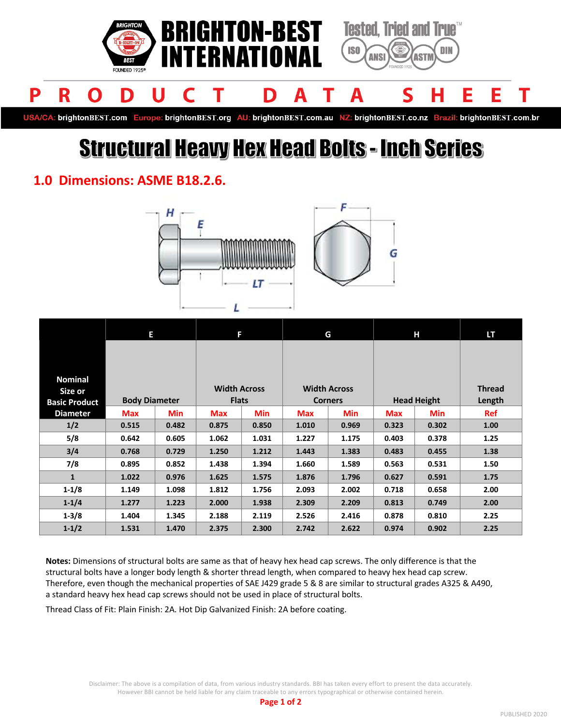

USA/CA: brightonBEST.com Europe: brightonBEST.org AU: brightonBEST.com.au NZ: brightonBEST.co.nz Brazil: brightonBEST.com.br

# **Structural Heavy Hex Head Bolts - Inch Series**

### **1.0 Dimensions: ASME B18.2.6.**





|                      | Е                    |            | F                   |            | G                   |            | Н                  |            | <b>LT</b>     |
|----------------------|----------------------|------------|---------------------|------------|---------------------|------------|--------------------|------------|---------------|
|                      |                      |            |                     |            |                     |            |                    |            |               |
|                      |                      |            |                     |            |                     |            |                    |            |               |
| <b>Nominal</b>       |                      |            |                     |            |                     |            |                    |            |               |
| Size or              |                      |            | <b>Width Across</b> |            | <b>Width Across</b> |            |                    |            | <b>Thread</b> |
| <b>Basic Product</b> | <b>Body Diameter</b> |            | <b>Flats</b>        |            | <b>Corners</b>      |            | <b>Head Height</b> |            | Length        |
| <b>Diameter</b>      | <b>Max</b>           | <b>Min</b> | <b>Max</b>          | <b>Min</b> | <b>Max</b>          | <b>Min</b> | <b>Max</b>         | <b>Min</b> | <b>Ref</b>    |
| 1/2                  | 0.515                | 0.482      | 0.875               | 0.850      | 1.010               | 0.969      | 0.323              | 0.302      | 1.00          |
| 5/8                  | 0.642                | 0.605      | 1.062               | 1.031      | 1.227               | 1.175      | 0.403              | 0.378      | 1.25          |
| 3/4                  | 0.768                | 0.729      | 1.250               | 1.212      | 1.443               | 1.383      | 0.483              | 0.455      | 1.38          |
| 7/8                  | 0.895                | 0.852      | 1.438               | 1.394      | 1.660               | 1.589      | 0.563              | 0.531      | 1.50          |
| $\mathbf{1}$         | 1.022                | 0.976      | 1.625               | 1.575      | 1.876               | 1.796      | 0.627              | 0.591      | 1.75          |
| $1 - 1/8$            | 1.149                | 1.098      | 1.812               | 1.756      | 2.093               | 2.002      | 0.718              | 0.658      | 2.00          |
| $1 - 1/4$            | 1.277                | 1.223      | 2.000               | 1.938      | 2.309               | 2.209      | 0.813              | 0.749      | 2.00          |
| $1 - 3/8$            | 1.404                | 1.345      | 2.188               | 2.119      | 2.526               | 2.416      | 0.878              | 0.810      | 2.25          |
| $1 - 1/2$            | 1.531                | 1.470      | 2.375               | 2.300      | 2.742               | 2.622      | 0.974              | 0.902      | 2.25          |

**Notes:** Dimensions of structural bolts are same as that of heavy hex head cap screws. The only difference is that the structural bolts have a longer body length & shorter thread length, when compared to heavy hex head cap screw. Therefore, even though the mechanical properties of SAE J429 grade 5 & 8 are similar to structural grades A325 & A490, a standard heavy hex head cap screws should not be used in place of structural bolts.

Thread Class of Fit: Plain Finish: 2A. Hot Dip Galvanized Finish: 2A before coating.

Disclaimer: The above is a compilation of data, from various industry standards. BBI has taken every effort to present the data accurately. However BBI cannot be held liable for any claim traceable to any errors typographical or otherwise contained herein.